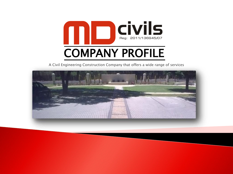

A Civil Engineering Construction Company that offers a wide range of services

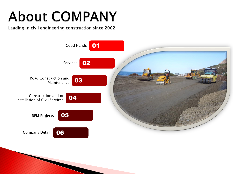# **About COMPANY**

Leading in civil engineering construction since 2002

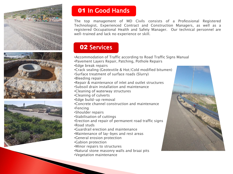





# 01 In Good Hands

The top management of MD Civils consists of a Professional Registered Technologist, Experienced Contract and Construction Managers, as well as a registered Occupational Health and Safety Manager. Our technical personnel are well-trained and lack no experience or skill.

# 02 Services

- •Accommodation of Traffic according to Road Traffic Signs Manual
- •Pavement Layers Repair, Patching, Pothole Repairs
- •Edge break repairs
- •Crack sealing (Geotextile & Hot/Cold modified bitumen)
- •Surface treatment of surface roads (Slurry)
- •Bleeding repair
- •Repair & maintenance of inlet and outlet structures
- •Subsoil drain installation and maintenance
- •Cleaning of waterway structures
- •Cleaning of culverts
- •Edge build-up removal
- •Concrete channel construction and maintenance
- •Fencing
- •Shoulder repairs
- •Stabilisation of cuttings
- •Erection and repair of permanent road traffic signs
- •Road studs
- •Guardrail erection and maintenance
- •Maintenance of lay-byes and rest areas
- •General erosion protection
- •Gabion protection
- •Minor repairs to structures
- •Natural stone masonry walls and braai pits
- •Vegetation maintenance

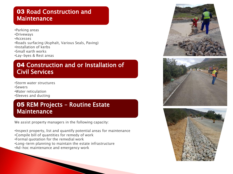## **03 Road Construction and Maintenance**

•Parking areas •Driveways •Accesses •Roads surfacing (Asphalt, Various Seals, Paving) •Installation of kerbs •Small earth works •Lay-byes & Rest areas

# 04 Construction and or Installation of Civil Services

•Storm water structures •Sewers •Water reticulation •Sleeves and ducting

## 05 REM Projects – Routine Estate **Maintenance**

We assist property managers in the following capacity:

•Inspect property, list and quantify potential areas for maintenance •Compile bill of quantities for remedy of work •Formal quotation for the remedial work •Long-term planning to maintain the estate infrastructure •Ad-hoc maintenance and emergency work